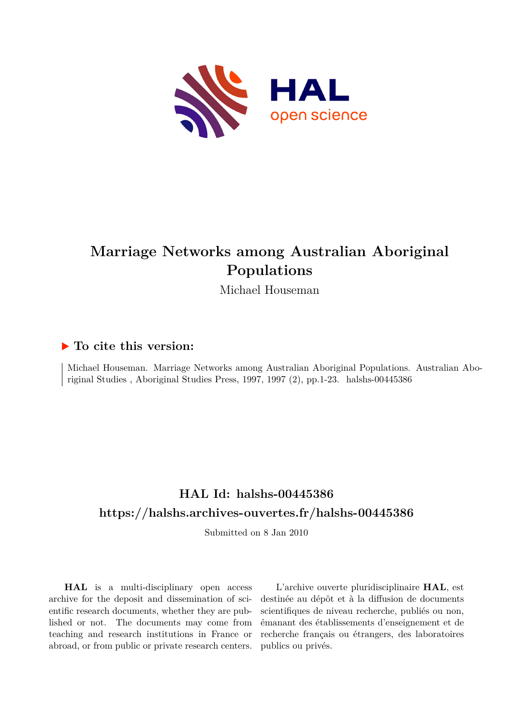

# **Marriage Networks among Australian Aboriginal Populations**

Michael Houseman

# **To cite this version:**

Michael Houseman. Marriage Networks among Australian Aboriginal Populations. Australian Aboriginal Studies, Aboriginal Studies Press, 1997, 1997 (2), pp.1-23. halshs-00445386

# **HAL Id: halshs-00445386 <https://halshs.archives-ouvertes.fr/halshs-00445386>**

Submitted on 8 Jan 2010

**HAL** is a multi-disciplinary open access archive for the deposit and dissemination of scientific research documents, whether they are published or not. The documents may come from teaching and research institutions in France or abroad, or from public or private research centers.

L'archive ouverte pluridisciplinaire **HAL**, est destinée au dépôt et à la diffusion de documents scientifiques de niveau recherche, publiés ou non, émanant des établissements d'enseignement et de recherche français ou étrangers, des laboratoires publics ou privés.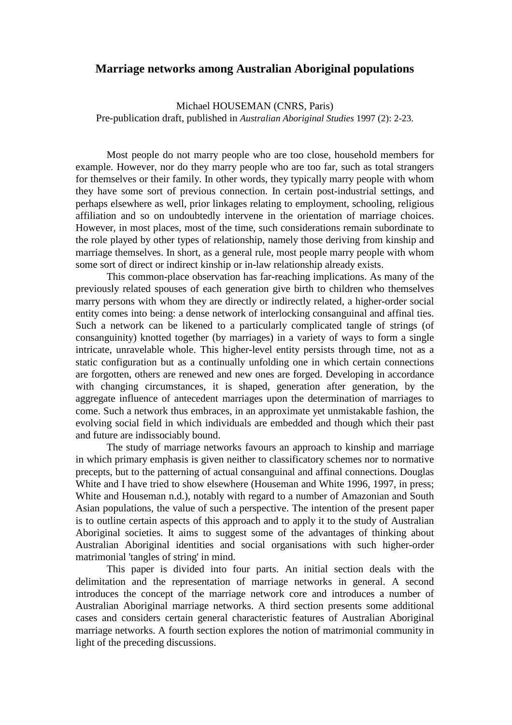# **Marriage networks among Australian Aboriginal populations**

Michael HOUSEMAN (CNRS, Paris) Pre-publication draft, published in *Australian Aboriginal Studies* 1997 (2): 2-23.

 Most people do not marry people who are too close, household members for example. However, nor do they marry people who are too far, such as total strangers for themselves or their family. In other words, they typically marry people with whom they have some sort of previous connection. In certain post-industrial settings, and perhaps elsewhere as well, prior linkages relating to employment, schooling, religious affiliation and so on undoubtedly intervene in the orientation of marriage choices. However, in most places, most of the time, such considerations remain subordinate to the role played by other types of relationship, namely those deriving from kinship and marriage themselves. In short, as a general rule, most people marry people with whom some sort of direct or indirect kinship or in-law relationship already exists.

 This common-place observation has far-reaching implications. As many of the previously related spouses of each generation give birth to children who themselves marry persons with whom they are directly or indirectly related, a higher-order social entity comes into being: a dense network of interlocking consanguinal and affinal ties. Such a network can be likened to a particularly complicated tangle of strings (of consanguinity) knotted together (by marriages) in a variety of ways to form a single intricate, unravelable whole. This higher-level entity persists through time, not as a static configuration but as a continually unfolding one in which certain connections are forgotten, others are renewed and new ones are forged. Developing in accordance with changing circumstances, it is shaped, generation after generation, by the aggregate influence of antecedent marriages upon the determination of marriages to come. Such a network thus embraces, in an approximate yet unmistakable fashion, the evolving social field in which individuals are embedded and though which their past and future are indissociably bound.

 The study of marriage networks favours an approach to kinship and marriage in which primary emphasis is given neither to classificatory schemes nor to normative precepts, but to the patterning of actual consanguinal and affinal connections. Douglas White and I have tried to show elsewhere (Houseman and White 1996, 1997, in press; White and Houseman n.d.), notably with regard to a number of Amazonian and South Asian populations, the value of such a perspective. The intention of the present paper is to outline certain aspects of this approach and to apply it to the study of Australian Aboriginal societies. It aims to suggest some of the advantages of thinking about Australian Aboriginal identities and social organisations with such higher-order matrimonial 'tangles of string' in mind.

 This paper is divided into four parts. An initial section deals with the delimitation and the representation of marriage networks in general. A second introduces the concept of the marriage network core and introduces a number of Australian Aboriginal marriage networks. A third section presents some additional cases and considers certain general characteristic features of Australian Aboriginal marriage networks. A fourth section explores the notion of matrimonial community in light of the preceding discussions.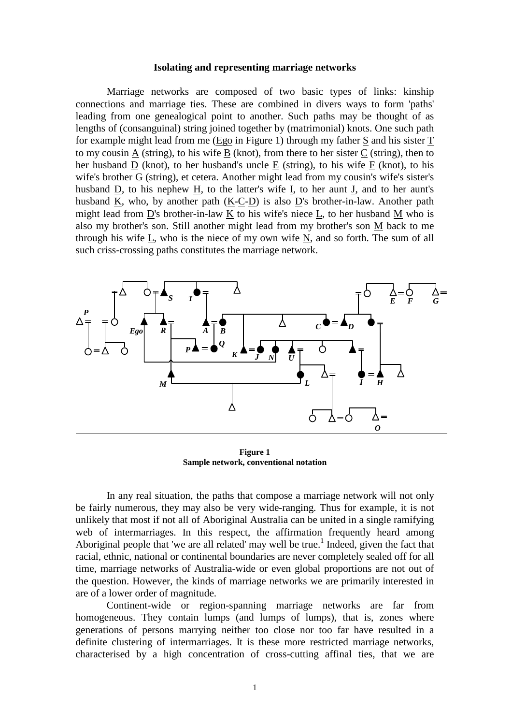#### **Isolating and representing marriage networks**

 Marriage networks are composed of two basic types of links: kinship connections and marriage ties. These are combined in divers ways to form 'paths' leading from one genealogical point to another. Such paths may be thought of as lengths of (consanguinal) string joined together by (matrimonial) knots. One such path for example might lead from me (Ego in Figure 1) through my father S and his sister T to my cousin  $\underline{A}$  (string), to his wife  $\underline{B}$  (knot), from there to her sister  $\underline{C}$  (string), then to her husband D (knot), to her husband's uncle E (string), to his wife F (knot), to his wife's brother G (string), et cetera. Another might lead from my cousin's wife's sister's husband D, to his nephew H, to the latter's wife I, to her aunt J, and to her aunt's husband K, who, by another path  $(K-C-D)$  is also D's brother-in-law. Another path might lead from D's brother-in-law K to his wife's niece L, to her husband M who is also my brother's son. Still another might lead from my brother's son M back to me through his wife L, who is the niece of my own wife N, and so forth. The sum of all such criss-crossing paths constitutes the marriage network.



**Figure 1 Sample network, conventional notation**

 In any real situation, the paths that compose a marriage network will not only be fairly numerous, they may also be very wide-ranging. Thus for example, it is not unlikely that most if not all of Aboriginal Australia can be united in a single ramifying web of intermarriages. In this respect, the affirmation frequently heard among Aboriginal people that 'we are all related' may well be true.<sup>1</sup> Indeed, given the fact that racial, ethnic, national or continental boundaries are never completely sealed off for all time, marriage networks of Australia-wide or even global proportions are not out of the question. However, the kinds of marriage networks we are primarily interested in are of a lower order of magnitude.

 Continent-wide or region-spanning marriage networks are far from homogeneous. They contain lumps (and lumps of lumps), that is, zones where generations of persons marrying neither too close nor too far have resulted in a definite clustering of intermarriages. It is these more restricted marriage networks, characterised by a high concentration of cross-cutting affinal ties, that we are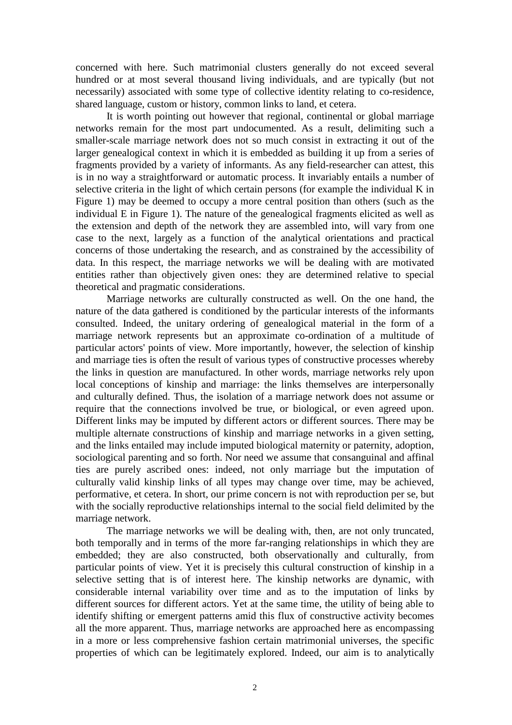concerned with here. Such matrimonial clusters generally do not exceed several hundred or at most several thousand living individuals, and are typically (but not necessarily) associated with some type of collective identity relating to co-residence, shared language, custom or history, common links to land, et cetera.

 It is worth pointing out however that regional, continental or global marriage networks remain for the most part undocumented. As a result, delimiting such a smaller-scale marriage network does not so much consist in extracting it out of the larger genealogical context in which it is embedded as building it up from a series of fragments provided by a variety of informants. As any field-researcher can attest, this is in no way a straightforward or automatic process. It invariably entails a number of selective criteria in the light of which certain persons (for example the individual K in Figure 1) may be deemed to occupy a more central position than others (such as the individual E in Figure 1). The nature of the genealogical fragments elicited as well as the extension and depth of the network they are assembled into, will vary from one case to the next, largely as a function of the analytical orientations and practical concerns of those undertaking the research, and as constrained by the accessibility of data. In this respect, the marriage networks we will be dealing with are motivated entities rather than objectively given ones: they are determined relative to special theoretical and pragmatic considerations.

 Marriage networks are culturally constructed as well. On the one hand, the nature of the data gathered is conditioned by the particular interests of the informants consulted. Indeed, the unitary ordering of genealogical material in the form of a marriage network represents but an approximate co-ordination of a multitude of particular actors' points of view. More importantly, however, the selection of kinship and marriage ties is often the result of various types of constructive processes whereby the links in question are manufactured. In other words, marriage networks rely upon local conceptions of kinship and marriage: the links themselves are interpersonally and culturally defined. Thus, the isolation of a marriage network does not assume or require that the connections involved be true, or biological, or even agreed upon. Different links may be imputed by different actors or different sources. There may be multiple alternate constructions of kinship and marriage networks in a given setting, and the links entailed may include imputed biological maternity or paternity, adoption, sociological parenting and so forth. Nor need we assume that consanguinal and affinal ties are purely ascribed ones: indeed, not only marriage but the imputation of culturally valid kinship links of all types may change over time, may be achieved, performative, et cetera. In short, our prime concern is not with reproduction per se, but with the socially reproductive relationships internal to the social field delimited by the marriage network.

 The marriage networks we will be dealing with, then, are not only truncated, both temporally and in terms of the more far-ranging relationships in which they are embedded; they are also constructed, both observationally and culturally, from particular points of view. Yet it is precisely this cultural construction of kinship in a selective setting that is of interest here. The kinship networks are dynamic, with considerable internal variability over time and as to the imputation of links by different sources for different actors. Yet at the same time, the utility of being able to identify shifting or emergent patterns amid this flux of constructive activity becomes all the more apparent. Thus, marriage networks are approached here as encompassing in a more or less comprehensive fashion certain matrimonial universes, the specific properties of which can be legitimately explored. Indeed, our aim is to analytically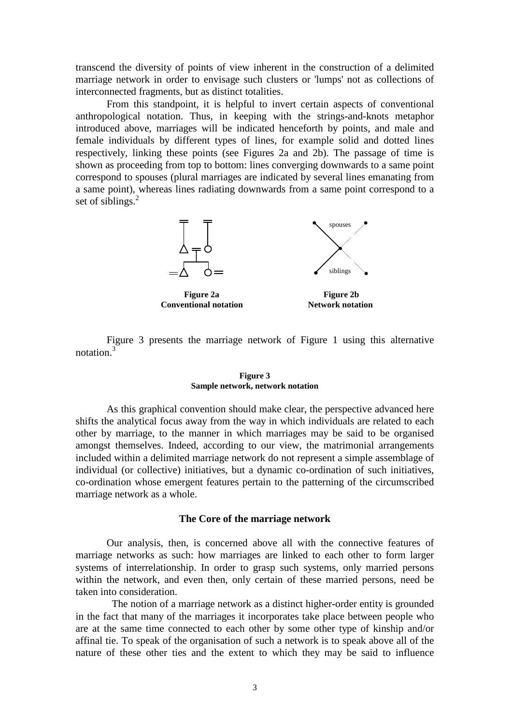transcend the diversity of points of view inherent in the construction of a delimited marriage network in order to envisage such clusters or 'lumps' not as collections of interconnected fragments, but as distinct totalities.

 From this standpoint, it is helpful to invert certain aspects of conventional anthropological notation. Thus, in keeping with the strings-and-knots metaphor introduced above, marriages will be indicated henceforth by points, and male and female individuals by different types of lines, for example solid and dotted lines respectively, linking these points (see Figures 2a and 2b). The passage of time is shown as proceeding from top to bottom: lines converging downwards to a same point correspond to spouses (plural marriages are indicated by several lines emanating from a same point), whereas lines radiating downwards from a same point correspond to a set of siblings.<sup>2</sup>



**Conventional notation Metwork notation** 

 Figure 3 presents the marriage network of Figure 1 using this alternative notation.<sup>3</sup>

#### **Figure 3 Sample network, network notation**

 As this graphical convention should make clear, the perspective advanced here shifts the analytical focus away from the way in which individuals are related to each other by marriage, to the manner in which marriages may be said to be organised amongst themselves. Indeed, according to our view, the matrimonial arrangements included within a delimited marriage network do not represent a simple assemblage of individual (or collective) initiatives, but a dynamic co-ordination of such initiatives, co-ordination whose emergent features pertain to the patterning of the circumscribed marriage network as a whole.

#### **The Core of the marriage network**

 Our analysis, then, is concerned above all with the connective features of marriage networks as such: how marriages are linked to each other to form larger systems of interrelationship. In order to grasp such systems, only married persons within the network, and even then, only certain of these married persons, need be taken into consideration.

 The notion of a marriage network as a distinct higher-order entity is grounded in the fact that many of the marriages it incorporates take place between people who are at the same time connected to each other by some other type of kinship and/or affinal tie. To speak of the organisation of such a network is to speak above all of the nature of these other ties and the extent to which they may be said to influence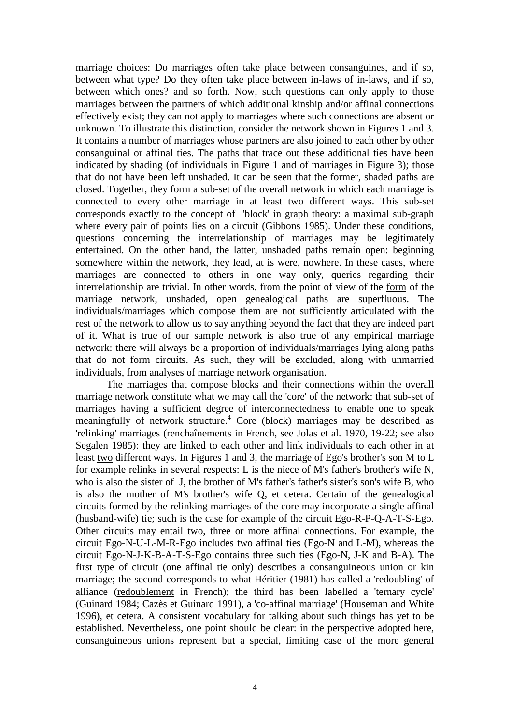marriage choices: Do marriages often take place between consanguines, and if so, between what type? Do they often take place between in-laws of in-laws, and if so, between which ones? and so forth. Now, such questions can only apply to those marriages between the partners of which additional kinship and/or affinal connections effectively exist; they can not apply to marriages where such connections are absent or unknown. To illustrate this distinction, consider the network shown in Figures 1 and 3. It contains a number of marriages whose partners are also joined to each other by other consanguinal or affinal ties. The paths that trace out these additional ties have been indicated by shading (of individuals in Figure 1 and of marriages in Figure 3); those that do not have been left unshaded. It can be seen that the former, shaded paths are closed. Together, they form a sub-set of the overall network in which each marriage is connected to every other marriage in at least two different ways. This sub-set corresponds exactly to the concept of 'block' in graph theory: a maximal sub-graph where every pair of points lies on a circuit (Gibbons 1985). Under these conditions, questions concerning the interrelationship of marriages may be legitimately entertained. On the other hand, the latter, unshaded paths remain open: beginning somewhere within the network, they lead, at is were, nowhere. In these cases, where marriages are connected to others in one way only, queries regarding their interrelationship are trivial. In other words, from the point of view of the form of the marriage network, unshaded, open genealogical paths are superfluous. The individuals/marriages which compose them are not sufficiently articulated with the rest of the network to allow us to say anything beyond the fact that they are indeed part of it. What is true of our sample network is also true of any empirical marriage network: there will always be a proportion of individuals/marriages lying along paths that do not form circuits. As such, they will be excluded, along with unmarried individuals, from analyses of marriage network organisation.

 The marriages that compose blocks and their connections within the overall marriage network constitute what we may call the 'core' of the network: that sub-set of marriages having a sufficient degree of interconnectedness to enable one to speak meaningfully of network structure.<sup>4</sup> Core (block) marriages may be described as 'relinking' marriages (renchaînements in French, see Jolas et al. 1970, 19-22; see also Segalen 1985): they are linked to each other and link individuals to each other in at least two different ways. In Figures 1 and 3, the marriage of Ego's brother's son M to L for example relinks in several respects: L is the niece of M's father's brother's wife N, who is also the sister of J, the brother of M's father's father's sister's son's wife B, who is also the mother of M's brother's wife Q, et cetera. Certain of the genealogical circuits formed by the relinking marriages of the core may incorporate a single affinal (husband-wife) tie; such is the case for example of the circuit Ego-R-P-Q-A-T-S-Ego. Other circuits may entail two, three or more affinal connections. For example, the circuit Ego-N-U-L-M-R-Ego includes two affinal ties (Ego-N and L-M), whereas the circuit Ego-N-J-K-B-A-T-S-Ego contains three such ties (Ego-N, J-K and B-A). The first type of circuit (one affinal tie only) describes a consanguineous union or kin marriage; the second corresponds to what Héritier (1981) has called a 'redoubling' of alliance (redoublement in French); the third has been labelled a 'ternary cycle' (Guinard 1984; Cazès et Guinard 1991), a 'co-affinal marriage' (Houseman and White 1996), et cetera. A consistent vocabulary for talking about such things has yet to be established. Nevertheless, one point should be clear: in the perspective adopted here, consanguineous unions represent but a special, limiting case of the more general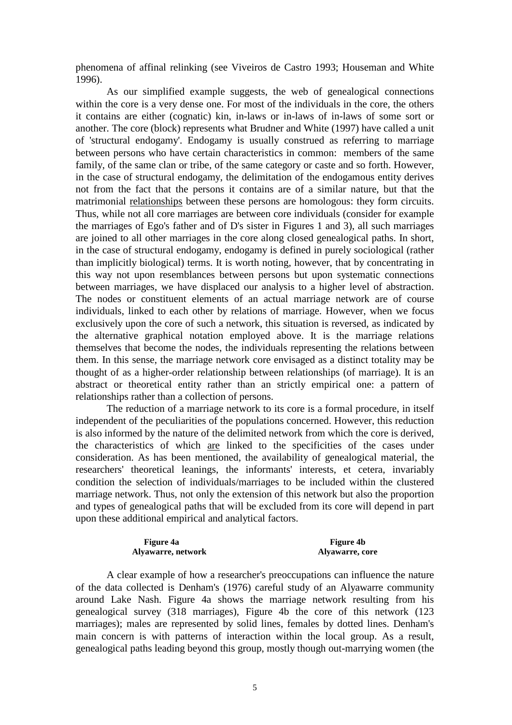phenomena of affinal relinking (see Viveiros de Castro 1993; Houseman and White 1996).

 As our simplified example suggests, the web of genealogical connections within the core is a very dense one. For most of the individuals in the core, the others it contains are either (cognatic) kin, in-laws or in-laws of in-laws of some sort or another. The core (block) represents what Brudner and White (1997) have called a unit of 'structural endogamy'. Endogamy is usually construed as referring to marriage between persons who have certain characteristics in common: members of the same family, of the same clan or tribe, of the same category or caste and so forth. However, in the case of structural endogamy, the delimitation of the endogamous entity derives not from the fact that the persons it contains are of a similar nature, but that the matrimonial relationships between these persons are homologous: they form circuits. Thus, while not all core marriages are between core individuals (consider for example the marriages of Ego's father and of D's sister in Figures 1 and 3), all such marriages are joined to all other marriages in the core along closed genealogical paths. In short, in the case of structural endogamy, endogamy is defined in purely sociological (rather than implicitly biological) terms. It is worth noting, however, that by concentrating in this way not upon resemblances between persons but upon systematic connections between marriages, we have displaced our analysis to a higher level of abstraction. The nodes or constituent elements of an actual marriage network are of course individuals, linked to each other by relations of marriage. However, when we focus exclusively upon the core of such a network, this situation is reversed, as indicated by the alternative graphical notation employed above. It is the marriage relations themselves that become the nodes, the individuals representing the relations between them. In this sense, the marriage network core envisaged as a distinct totality may be thought of as a higher-order relationship between relationships (of marriage). It is an abstract or theoretical entity rather than an strictly empirical one: a pattern of relationships rather than a collection of persons.

 The reduction of a marriage network to its core is a formal procedure, in itself independent of the peculiarities of the populations concerned. However, this reduction is also informed by the nature of the delimited network from which the core is derived, the characteristics of which are linked to the specificities of the cases under consideration. As has been mentioned, the availability of genealogical material, the researchers' theoretical leanings, the informants' interests, et cetera, invariably condition the selection of individuals/marriages to be included within the clustered marriage network. Thus, not only the extension of this network but also the proportion and types of genealogical paths that will be excluded from its core will depend in part upon these additional empirical and analytical factors.

#### Figure 4a **Figure 4**b **Alyawarre, network and Alyawarre, core Alyawarre, core**

 A clear example of how a researcher's preoccupations can influence the nature of the data collected is Denham's (1976) careful study of an Alyawarre community around Lake Nash. Figure 4a shows the marriage network resulting from his genealogical survey (318 marriages), Figure 4b the core of this network (123 marriages); males are represented by solid lines, females by dotted lines. Denham's main concern is with patterns of interaction within the local group. As a result, genealogical paths leading beyond this group, mostly though out-marrying women (the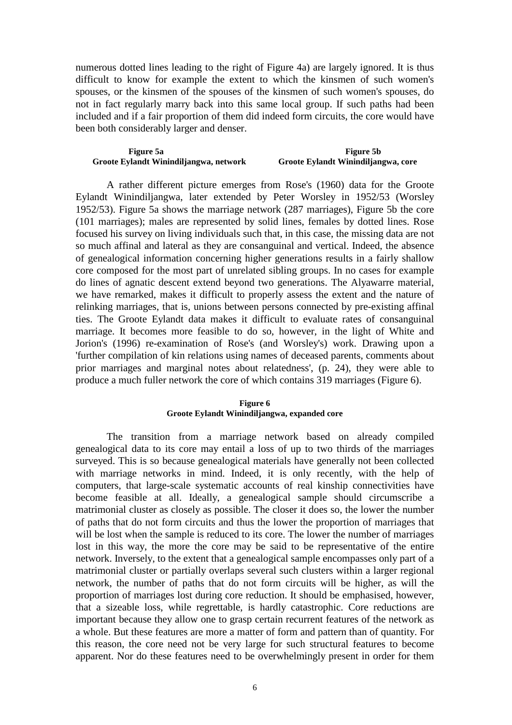numerous dotted lines leading to the right of Figure 4a) are largely ignored. It is thus difficult to know for example the extent to which the kinsmen of such women's spouses, or the kinsmen of the spouses of the kinsmen of such women's spouses, do not in fact regularly marry back into this same local group. If such paths had been included and if a fair proportion of them did indeed form circuits, the core would have been both considerably larger and denser.

#### Figure 5a **Figure 5** Figure 5b **Groote Eylandt Winindiljangwa, network Groote Eylandt Winindiljangwa, core**

 A rather different picture emerges from Rose's (1960) data for the Groote Eylandt Winindiljangwa, later extended by Peter Worsley in 1952/53 (Worsley 1952/53). Figure 5a shows the marriage network (287 marriages), Figure 5b the core (101 marriages); males are represented by solid lines, females by dotted lines. Rose focused his survey on living individuals such that, in this case, the missing data are not so much affinal and lateral as they are consanguinal and vertical. Indeed, the absence of genealogical information concerning higher generations results in a fairly shallow core composed for the most part of unrelated sibling groups. In no cases for example do lines of agnatic descent extend beyond two generations. The Alyawarre material, we have remarked, makes it difficult to properly assess the extent and the nature of relinking marriages, that is, unions between persons connected by pre-existing affinal ties. The Groote Eylandt data makes it difficult to evaluate rates of consanguinal marriage. It becomes more feasible to do so, however, in the light of White and Jorion's (1996) re-examination of Rose's (and Worsley's) work. Drawing upon a 'further compilation of kin relations using names of deceased parents, comments about prior marriages and marginal notes about relatedness', (p. 24), they were able to produce a much fuller network the core of which contains 319 marriages (Figure 6).

#### **Figure 6 Groote Eylandt Winindiljangwa, expanded core**

 The transition from a marriage network based on already compiled genealogical data to its core may entail a loss of up to two thirds of the marriages surveyed. This is so because genealogical materials have generally not been collected with marriage networks in mind. Indeed, it is only recently, with the help of computers, that large-scale systematic accounts of real kinship connectivities have become feasible at all. Ideally, a genealogical sample should circumscribe a matrimonial cluster as closely as possible. The closer it does so, the lower the number of paths that do not form circuits and thus the lower the proportion of marriages that will be lost when the sample is reduced to its core. The lower the number of marriages lost in this way, the more the core may be said to be representative of the entire network. Inversely, to the extent that a genealogical sample encompasses only part of a matrimonial cluster or partially overlaps several such clusters within a larger regional network, the number of paths that do not form circuits will be higher, as will the proportion of marriages lost during core reduction. It should be emphasised, however, that a sizeable loss, while regrettable, is hardly catastrophic. Core reductions are important because they allow one to grasp certain recurrent features of the network as a whole. But these features are more a matter of form and pattern than of quantity. For this reason, the core need not be very large for such structural features to become apparent. Nor do these features need to be overwhelmingly present in order for them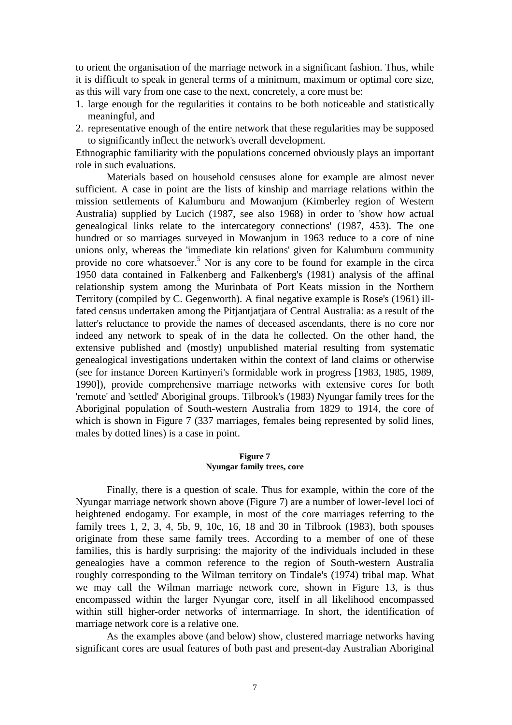to orient the organisation of the marriage network in a significant fashion. Thus, while it is difficult to speak in general terms of a minimum, maximum or optimal core size, as this will vary from one case to the next, concretely, a core must be:

- 1. large enough for the regularities it contains to be both noticeable and statistically meaningful, and
- 2. representative enough of the entire network that these regularities may be supposed to significantly inflect the network's overall development.

Ethnographic familiarity with the populations concerned obviously plays an important role in such evaluations.

 Materials based on household censuses alone for example are almost never sufficient. A case in point are the lists of kinship and marriage relations within the mission settlements of Kalumburu and Mowanjum (Kimberley region of Western Australia) supplied by Lucich (1987, see also 1968) in order to 'show how actual genealogical links relate to the intercategory connections' (1987, 453). The one hundred or so marriages surveyed in Mowanjum in 1963 reduce to a core of nine unions only, whereas the 'immediate kin relations' given for Kalumburu community provide no core whatsoever.<sup>5</sup> Nor is any core to be found for example in the circa 1950 data contained in Falkenberg and Falkenberg's (1981) analysis of the affinal relationship system among the Murinbata of Port Keats mission in the Northern Territory (compiled by C. Gegenworth). A final negative example is Rose's (1961) illfated census undertaken among the Pitjantjatjara of Central Australia: as a result of the latter's reluctance to provide the names of deceased ascendants, there is no core nor indeed any network to speak of in the data he collected. On the other hand, the extensive published and (mostly) unpublished material resulting from systematic genealogical investigations undertaken within the context of land claims or otherwise (see for instance Doreen Kartinyeri's formidable work in progress [1983, 1985, 1989, 1990]), provide comprehensive marriage networks with extensive cores for both 'remote' and 'settled' Aboriginal groups. Tilbrook's (1983) Nyungar family trees for the Aboriginal population of South-western Australia from 1829 to 1914, the core of which is shown in Figure 7 (337 marriages, females being represented by solid lines, males by dotted lines) is a case in point.

#### **Figure 7 Nyungar family trees, core**

 Finally, there is a question of scale. Thus for example, within the core of the Nyungar marriage network shown above (Figure 7) are a number of lower-level loci of heightened endogamy. For example, in most of the core marriages referring to the family trees 1, 2, 3, 4, 5b, 9, 10c, 16, 18 and 30 in Tilbrook (1983), both spouses originate from these same family trees. According to a member of one of these families, this is hardly surprising: the majority of the individuals included in these genealogies have a common reference to the region of South-western Australia roughly corresponding to the Wilman territory on Tindale's (1974) tribal map. What we may call the Wilman marriage network core, shown in Figure 13, is thus encompassed within the larger Nyungar core, itself in all likelihood encompassed within still higher-order networks of intermarriage. In short, the identification of marriage network core is a relative one.

 As the examples above (and below) show, clustered marriage networks having significant cores are usual features of both past and present-day Australian Aboriginal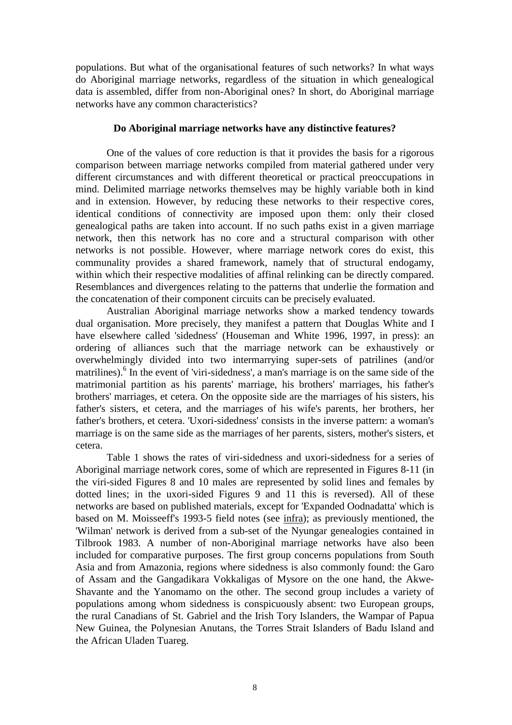populations. But what of the organisational features of such networks? In what ways do Aboriginal marriage networks, regardless of the situation in which genealogical data is assembled, differ from non-Aboriginal ones? In short, do Aboriginal marriage networks have any common characteristics?

## **Do Aboriginal marriage networks have any distinctive features?**

 One of the values of core reduction is that it provides the basis for a rigorous comparison between marriage networks compiled from material gathered under very different circumstances and with different theoretical or practical preoccupations in mind. Delimited marriage networks themselves may be highly variable both in kind and in extension. However, by reducing these networks to their respective cores, identical conditions of connectivity are imposed upon them: only their closed genealogical paths are taken into account. If no such paths exist in a given marriage network, then this network has no core and a structural comparison with other networks is not possible. However, where marriage network cores do exist, this communality provides a shared framework, namely that of structural endogamy, within which their respective modalities of affinal relinking can be directly compared. Resemblances and divergences relating to the patterns that underlie the formation and the concatenation of their component circuits can be precisely evaluated.

 Australian Aboriginal marriage networks show a marked tendency towards dual organisation. More precisely, they manifest a pattern that Douglas White and I have elsewhere called 'sidedness' (Houseman and White 1996, 1997, in press): an ordering of alliances such that the marriage network can be exhaustively or overwhelmingly divided into two intermarrying super-sets of patrilines (and/or matrilines).<sup>6</sup> In the event of 'viri-sidedness', a man's marriage is on the same side of the matrimonial partition as his parents' marriage, his brothers' marriages, his father's brothers' marriages, et cetera. On the opposite side are the marriages of his sisters, his father's sisters, et cetera, and the marriages of his wife's parents, her brothers, her father's brothers, et cetera. 'Uxori-sidedness' consists in the inverse pattern: a woman's marriage is on the same side as the marriages of her parents, sisters, mother's sisters, et cetera.

 Table 1 shows the rates of viri-sidedness and uxori-sidedness for a series of Aboriginal marriage network cores, some of which are represented in Figures 8-11 (in the viri-sided Figures 8 and 10 males are represented by solid lines and females by dotted lines; in the uxori-sided Figures 9 and 11 this is reversed). All of these networks are based on published materials, except for 'Expanded Oodnadatta' which is based on M. Moisseeff's 1993-5 field notes (see infra); as previously mentioned, the 'Wilman' network is derived from a sub-set of the Nyungar genealogies contained in Tilbrook 1983. A number of non-Aboriginal marriage networks have also been included for comparative purposes. The first group concerns populations from South Asia and from Amazonia, regions where sidedness is also commonly found: the Garo of Assam and the Gangadikara Vokkaligas of Mysore on the one hand, the Akwe-Shavante and the Yanomamo on the other. The second group includes a variety of populations among whom sidedness is conspicuously absent: two European groups, the rural Canadians of St. Gabriel and the Irish Tory Islanders, the Wampar of Papua New Guinea, the Polynesian Anutans, the Torres Strait Islanders of Badu Island and the African Uladen Tuareg.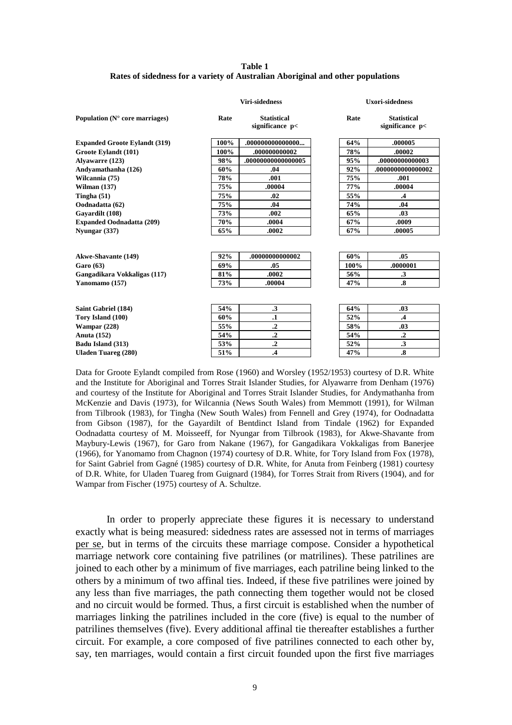#### **Table 1 Rates of sidedness for a variety of Australian Aboriginal and other populations**

| Population $(N^{\circ}$ core marriages) | <b>Viri-sidedness</b> |                                       |      | <b>Uxori-sidedness</b>                |  |
|-----------------------------------------|-----------------------|---------------------------------------|------|---------------------------------------|--|
|                                         | Rate                  | <b>Statistical</b><br>significance p< | Rate | <b>Statistical</b><br>significance p< |  |
| <b>Expanded Groote Eylandt (319)</b>    | 100%                  | .0000000000000                        | 64%  | .000005                               |  |
| Groote Evlandt (101)                    | 100%                  | .00000000002                          | 78%  | .00002                                |  |
| Alvawarre (123)                         | 98%                   | .0000000000000005                     | 95%  | .0000000000003                        |  |
| Andyamathanha (126)                     | 60%                   | .04                                   | 92%  | .000000000000002                      |  |
| Wilcannia (75)                          | 78%                   | .001                                  | 75%  | .001                                  |  |
| Wilman $(137)$                          | <b>75%</b>            | .00004                                | 77%  | .00004                                |  |
| Tingha $(51)$                           | 75%                   | .02                                   | 55%  | .4                                    |  |
| Oodnadatta (62)                         | <b>75%</b>            | .04                                   | 74%  | .04                                   |  |
| Gavardilt (108)                         | 73%                   | .002                                  | 65%  | .03                                   |  |
| <b>Expanded Oodnadatta (209)</b>        | 70%                   | .0004                                 | 67%  | .0009                                 |  |
| Nyungar (337)                           | 65%                   | .0002                                 | 67%  | .00005                                |  |
|                                         |                       |                                       |      |                                       |  |
| <b>Akwe-Shavante (149)</b>              | 92%                   | .0000000000002                        | 60%  | .05                                   |  |
| Garo (63)                               | 69%                   | .05                                   | 100% | .0000001                              |  |
| Gangadikara Vokkaligas (117)            | 81%                   | .0002                                 | 56%  | $\cdot$ 3                             |  |
| Yanomamo (157)                          | 73%                   | .00004                                | 47%  | $\boldsymbol{.8}$                     |  |
|                                         |                       |                                       |      |                                       |  |
| Saint Gabriel (184)                     | 54%                   | $\cdot$ 3                             | 64%  | .03                                   |  |
| Tory Island (100)                       | 60%                   | $\cdot$                               | 52%  | $\cdot$ 4                             |  |
| Wampar $(228)$                          | 55%                   | $\cdot$ <sup>2</sup>                  | 58%  | .03                                   |  |
| <b>Anuta</b> (152)                      | 54%                   | $\cdot$                               | 54%  | $\cdot$ <sup>2</sup>                  |  |
| Badu Island (313)                       | 53%                   | $\cdot$ <sup>2</sup>                  | 52%  | $\cdot$ 3                             |  |
| <b>Uladen Tuareg (280)</b>              | 51%                   | $\cdot$ 4                             | 47%  | $\boldsymbol{.8}$                     |  |

Data for Groote Eylandt compiled from Rose (1960) and Worsley (1952/1953) courtesy of D.R. White and the Institute for Aboriginal and Torres Strait Islander Studies, for Alyawarre from Denham (1976) and courtesy of the Institute for Aboriginal and Torres Strait Islander Studies, for Andymathanha from McKenzie and Davis (1973), for Wilcannia (News South Wales) from Memmott (1991), for Wilman from Tilbrook (1983), for Tingha (New South Wales) from Fennell and Grey (1974), for Oodnadatta from Gibson (1987), for the Gayardilt of Bentdinct Island from Tindale (1962) for Expanded Oodnadatta courtesy of M. Moisseeff, for Nyungar from Tilbrook (1983), for Akwe-Shavante from Maybury-Lewis (1967), for Garo from Nakane (1967), for Gangadikara Vokkaligas from Banerjee (1966), for Yanomamo from Chagnon (1974) courtesy of D.R. White, for Tory Island from Fox (1978), for Saint Gabriel from Gagné (1985) courtesy of D.R. White, for Anuta from Feinberg (1981) courtesy of D.R. White, for Uladen Tuareg from Guignard (1984), for Torres Strait from Rivers (1904), and for Wampar from Fischer (1975) courtesy of A. Schultze.

 In order to properly appreciate these figures it is necessary to understand exactly what is being measured: sidedness rates are assessed not in terms of marriages per se, but in terms of the circuits these marriage compose. Consider a hypothetical marriage network core containing five patrilines (or matrilines). These patrilines are joined to each other by a minimum of five marriages, each patriline being linked to the others by a minimum of two affinal ties. Indeed, if these five patrilines were joined by any less than five marriages, the path connecting them together would not be closed and no circuit would be formed. Thus, a first circuit is established when the number of marriages linking the patrilines included in the core (five) is equal to the number of patrilines themselves (five). Every additional affinal tie thereafter establishes a further circuit. For example, a core composed of five patrilines connected to each other by, say, ten marriages, would contain a first circuit founded upon the first five marriages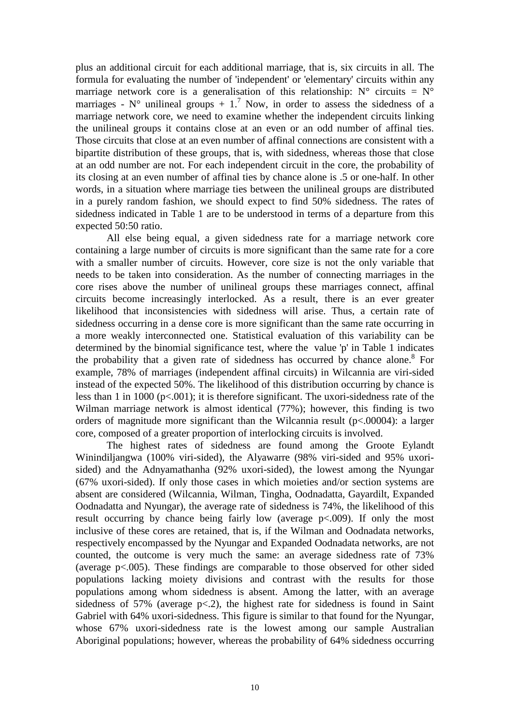plus an additional circuit for each additional marriage, that is, six circuits in all. The formula for evaluating the number of 'independent' or 'elementary' circuits within any marriage network core is a generalisation of this relationship:  $N^{\circ}$  circuits =  $N^{\circ}$ marriages -  $N^{\circ}$  unilineal groups + 1.<sup>7</sup> Now, in order to assess the sidedness of a marriage network core, we need to examine whether the independent circuits linking the unilineal groups it contains close at an even or an odd number of affinal ties. Those circuits that close at an even number of affinal connections are consistent with a bipartite distribution of these groups, that is, with sidedness, whereas those that close at an odd number are not. For each independent circuit in the core, the probability of its closing at an even number of affinal ties by chance alone is .5 or one-half. In other words, in a situation where marriage ties between the unilineal groups are distributed in a purely random fashion, we should expect to find 50% sidedness. The rates of sidedness indicated in Table 1 are to be understood in terms of a departure from this expected 50:50 ratio.

 All else being equal, a given sidedness rate for a marriage network core containing a large number of circuits is more significant than the same rate for a core with a smaller number of circuits. However, core size is not the only variable that needs to be taken into consideration. As the number of connecting marriages in the core rises above the number of unilineal groups these marriages connect, affinal circuits become increasingly interlocked. As a result, there is an ever greater likelihood that inconsistencies with sidedness will arise. Thus, a certain rate of sidedness occurring in a dense core is more significant than the same rate occurring in a more weakly interconnected one. Statistical evaluation of this variability can be determined by the binomial significance test, where the value 'p' in Table 1 indicates the probability that a given rate of sidedness has occurred by chance alone.<sup>8</sup> For example, 78% of marriages (independent affinal circuits) in Wilcannia are viri-sided instead of the expected 50%. The likelihood of this distribution occurring by chance is less than 1 in 1000 (p<.001); it is therefore significant. The uxori-sidedness rate of the Wilman marriage network is almost identical (77%); however, this finding is two orders of magnitude more significant than the Wilcannia result (p<.00004): a larger core, composed of a greater proportion of interlocking circuits is involved.

 The highest rates of sidedness are found among the Groote Eylandt Winindiljangwa (100% viri-sided), the Alyawarre (98% viri-sided and 95% uxorisided) and the Adnyamathanha (92% uxori-sided), the lowest among the Nyungar (67% uxori-sided). If only those cases in which moieties and/or section systems are absent are considered (Wilcannia, Wilman, Tingha, Oodnadatta, Gayardilt, Expanded Oodnadatta and Nyungar), the average rate of sidedness is 74%, the likelihood of this result occurring by chance being fairly low (average p<.009). If only the most inclusive of these cores are retained, that is, if the Wilman and Oodnadata networks, respectively encompassed by the Nyungar and Expanded Oodnadata networks, are not counted, the outcome is very much the same: an average sidedness rate of 73% (average p<.005). These findings are comparable to those observed for other sided populations lacking moiety divisions and contrast with the results for those populations among whom sidedness is absent. Among the latter, with an average sidedness of 57% (average  $p\le 2$ ), the highest rate for sidedness is found in Saint Gabriel with 64% uxori-sidedness. This figure is similar to that found for the Nyungar, whose 67% uxori-sidedness rate is the lowest among our sample Australian Aboriginal populations; however, whereas the probability of 64% sidedness occurring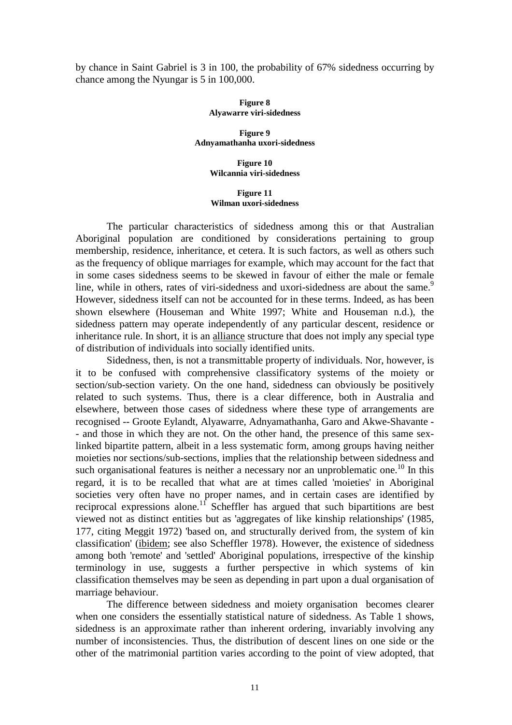by chance in Saint Gabriel is 3 in 100, the probability of 67% sidedness occurring by chance among the Nyungar is 5 in 100,000.

#### **Figure 8 Alyawarre viri-sidedness**

**Figure 9 Adnyamathanha uxori-sidedness** 

> **Figure 10 Wilcannia viri-sidedness**

#### **Figure 11 Wilman uxori-sidedness**

 The particular characteristics of sidedness among this or that Australian Aboriginal population are conditioned by considerations pertaining to group membership, residence, inheritance, et cetera. It is such factors, as well as others such as the frequency of oblique marriages for example, which may account for the fact that in some cases sidedness seems to be skewed in favour of either the male or female line, while in others, rates of viri-sidedness and uxori-sidedness are about the same.<sup>9</sup> However, sidedness itself can not be accounted for in these terms. Indeed, as has been shown elsewhere (Houseman and White 1997; White and Houseman n.d.), the sidedness pattern may operate independently of any particular descent, residence or inheritance rule. In short, it is an alliance structure that does not imply any special type of distribution of individuals into socially identified units.

 Sidedness, then, is not a transmittable property of individuals. Nor, however, is it to be confused with comprehensive classificatory systems of the moiety or section/sub-section variety. On the one hand, sidedness can obviously be positively related to such systems. Thus, there is a clear difference, both in Australia and elsewhere, between those cases of sidedness where these type of arrangements are recognised -- Groote Eylandt, Alyawarre, Adnyamathanha, Garo and Akwe-Shavante - - and those in which they are not. On the other hand, the presence of this same sexlinked bipartite pattern, albeit in a less systematic form, among groups having neither moieties nor sections/sub-sections, implies that the relationship between sidedness and such organisational features is neither a necessary nor an unproblematic one.<sup>10</sup> In this regard, it is to be recalled that what are at times called 'moieties' in Aboriginal societies very often have no proper names, and in certain cases are identified by reciprocal expressions alone.<sup>11</sup> Scheffler has argued that such bipartitions are best viewed not as distinct entities but as 'aggregates of like kinship relationships' (1985, 177, citing Meggit 1972) 'based on, and structurally derived from, the system of kin classification' (ibidem; see also Scheffler 1978). However, the existence of sidedness among both 'remote' and 'settled' Aboriginal populations, irrespective of the kinship terminology in use, suggests a further perspective in which systems of kin classification themselves may be seen as depending in part upon a dual organisation of marriage behaviour.

 The difference between sidedness and moiety organisation becomes clearer when one considers the essentially statistical nature of sidedness. As Table 1 shows, sidedness is an approximate rather than inherent ordering, invariably involving any number of inconsistencies. Thus, the distribution of descent lines on one side or the other of the matrimonial partition varies according to the point of view adopted, that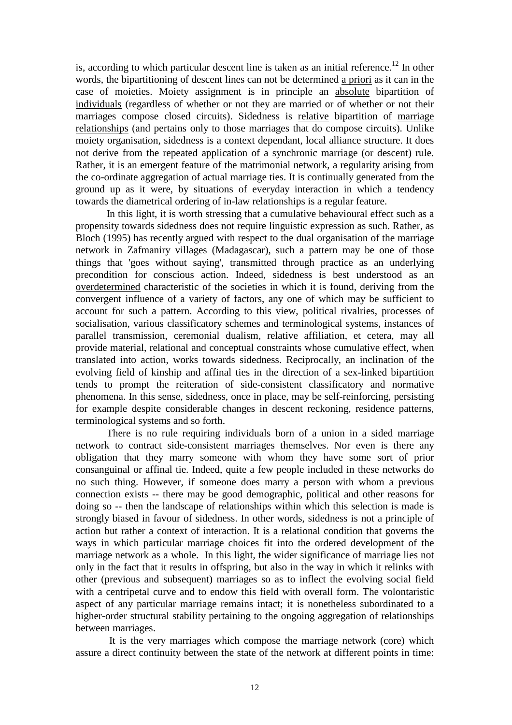is, according to which particular descent line is taken as an initial reference.<sup>12</sup> In other words, the bipartitioning of descent lines can not be determined a priori as it can in the case of moieties. Moiety assignment is in principle an absolute bipartition of individuals (regardless of whether or not they are married or of whether or not their marriages compose closed circuits). Sidedness is relative bipartition of marriage relationships (and pertains only to those marriages that do compose circuits). Unlike moiety organisation, sidedness is a context dependant, local alliance structure. It does not derive from the repeated application of a synchronic marriage (or descent) rule. Rather, it is an emergent feature of the matrimonial network, a regularity arising from the co-ordinate aggregation of actual marriage ties. It is continually generated from the ground up as it were, by situations of everyday interaction in which a tendency towards the diametrical ordering of in-law relationships is a regular feature.

 In this light, it is worth stressing that a cumulative behavioural effect such as a propensity towards sidedness does not require linguistic expression as such. Rather, as Bloch (1995) has recently argued with respect to the dual organisation of the marriage network in Zafmaniry villages (Madagascar), such a pattern may be one of those things that 'goes without saying', transmitted through practice as an underlying precondition for conscious action. Indeed, sidedness is best understood as an overdetermined characteristic of the societies in which it is found, deriving from the convergent influence of a variety of factors, any one of which may be sufficient to account for such a pattern. According to this view, political rivalries, processes of socialisation, various classificatory schemes and terminological systems, instances of parallel transmission, ceremonial dualism, relative affiliation, et cetera, may all provide material, relational and conceptual constraints whose cumulative effect, when translated into action, works towards sidedness. Reciprocally, an inclination of the evolving field of kinship and affinal ties in the direction of a sex-linked bipartition tends to prompt the reiteration of side-consistent classificatory and normative phenomena. In this sense, sidedness, once in place, may be self-reinforcing, persisting for example despite considerable changes in descent reckoning, residence patterns, terminological systems and so forth.

 There is no rule requiring individuals born of a union in a sided marriage network to contract side-consistent marriages themselves. Nor even is there any obligation that they marry someone with whom they have some sort of prior consanguinal or affinal tie. Indeed, quite a few people included in these networks do no such thing. However, if someone does marry a person with whom a previous connection exists -- there may be good demographic, political and other reasons for doing so -- then the landscape of relationships within which this selection is made is strongly biased in favour of sidedness. In other words, sidedness is not a principle of action but rather a context of interaction. It is a relational condition that governs the ways in which particular marriage choices fit into the ordered development of the marriage network as a whole. In this light, the wider significance of marriage lies not only in the fact that it results in offspring, but also in the way in which it relinks with other (previous and subsequent) marriages so as to inflect the evolving social field with a centripetal curve and to endow this field with overall form. The volontaristic aspect of any particular marriage remains intact; it is nonetheless subordinated to a higher-order structural stability pertaining to the ongoing aggregation of relationships between marriages.

 It is the very marriages which compose the marriage network (core) which assure a direct continuity between the state of the network at different points in time: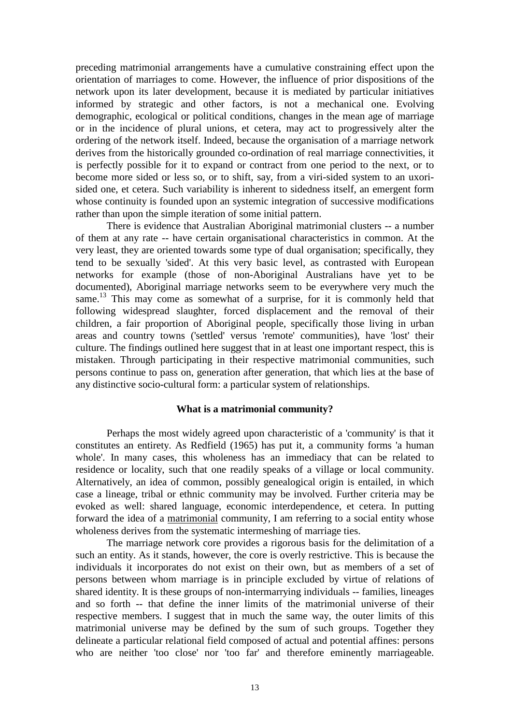preceding matrimonial arrangements have a cumulative constraining effect upon the orientation of marriages to come. However, the influence of prior dispositions of the network upon its later development, because it is mediated by particular initiatives informed by strategic and other factors, is not a mechanical one. Evolving demographic, ecological or political conditions, changes in the mean age of marriage or in the incidence of plural unions, et cetera, may act to progressively alter the ordering of the network itself. Indeed, because the organisation of a marriage network derives from the historically grounded co-ordination of real marriage connectivities, it is perfectly possible for it to expand or contract from one period to the next, or to become more sided or less so, or to shift, say, from a viri-sided system to an uxorisided one, et cetera. Such variability is inherent to sidedness itself, an emergent form whose continuity is founded upon an systemic integration of successive modifications rather than upon the simple iteration of some initial pattern.

 There is evidence that Australian Aboriginal matrimonial clusters -- a number of them at any rate -- have certain organisational characteristics in common. At the very least, they are oriented towards some type of dual organisation; specifically, they tend to be sexually 'sided'. At this very basic level, as contrasted with European networks for example (those of non-Aboriginal Australians have yet to be documented), Aboriginal marriage networks seem to be everywhere very much the same.<sup>13</sup> This may come as somewhat of a surprise, for it is commonly held that following widespread slaughter, forced displacement and the removal of their children, a fair proportion of Aboriginal people, specifically those living in urban areas and country towns ('settled' versus 'remote' communities), have 'lost' their culture. The findings outlined here suggest that in at least one important respect, this is mistaken. Through participating in their respective matrimonial communities, such persons continue to pass on, generation after generation, that which lies at the base of any distinctive socio-cultural form: a particular system of relationships.

### **What is a matrimonial community?**

 Perhaps the most widely agreed upon characteristic of a 'community' is that it constitutes an entirety. As Redfield (1965) has put it, a community forms 'a human whole'. In many cases, this wholeness has an immediacy that can be related to residence or locality, such that one readily speaks of a village or local community. Alternatively, an idea of common, possibly genealogical origin is entailed, in which case a lineage, tribal or ethnic community may be involved. Further criteria may be evoked as well: shared language, economic interdependence, et cetera. In putting forward the idea of a matrimonial community, I am referring to a social entity whose wholeness derives from the systematic intermeshing of marriage ties.

 The marriage network core provides a rigorous basis for the delimitation of a such an entity. As it stands, however, the core is overly restrictive. This is because the individuals it incorporates do not exist on their own, but as members of a set of persons between whom marriage is in principle excluded by virtue of relations of shared identity. It is these groups of non-intermarrying individuals -- families, lineages and so forth -- that define the inner limits of the matrimonial universe of their respective members. I suggest that in much the same way, the outer limits of this matrimonial universe may be defined by the sum of such groups. Together they delineate a particular relational field composed of actual and potential affines: persons who are neither 'too close' nor 'too far' and therefore eminently marriageable.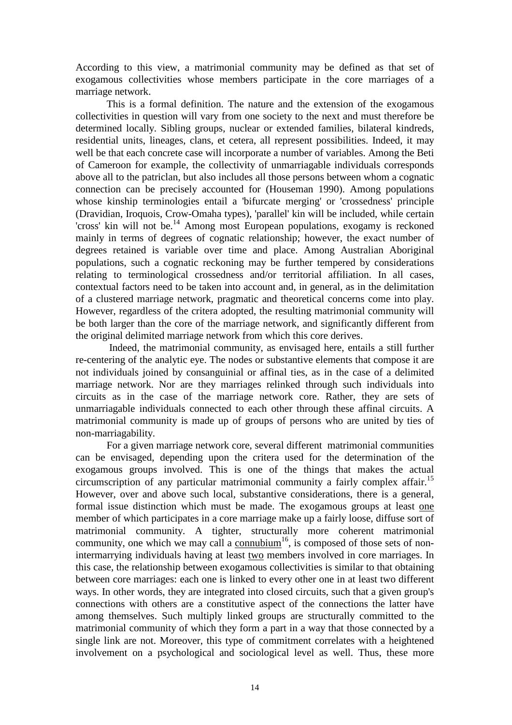According to this view, a matrimonial community may be defined as that set of exogamous collectivities whose members participate in the core marriages of a marriage network.

 This is a formal definition. The nature and the extension of the exogamous collectivities in question will vary from one society to the next and must therefore be determined locally. Sibling groups, nuclear or extended families, bilateral kindreds, residential units, lineages, clans, et cetera, all represent possibilities. Indeed, it may well be that each concrete case will incorporate a number of variables. Among the Beti of Cameroon for example, the collectivity of unmarriagable individuals corresponds above all to the patriclan, but also includes all those persons between whom a cognatic connection can be precisely accounted for (Houseman 1990). Among populations whose kinship terminologies entail a 'bifurcate merging' or 'crossedness' principle (Dravidian, Iroquois, Crow-Omaha types), 'parallel' kin will be included, while certain 'cross' kin will not be.<sup>14</sup> Among most European populations, exogamy is reckoned mainly in terms of degrees of cognatic relationship; however, the exact number of degrees retained is variable over time and place. Among Australian Aboriginal populations, such a cognatic reckoning may be further tempered by considerations relating to terminological crossedness and/or territorial affiliation. In all cases, contextual factors need to be taken into account and, in general, as in the delimitation of a clustered marriage network, pragmatic and theoretical concerns come into play. However, regardless of the critera adopted, the resulting matrimonial community will be both larger than the core of the marriage network, and significantly different from the original delimited marriage network from which this core derives.

 Indeed, the matrimonial community, as envisaged here, entails a still further re-centering of the analytic eye. The nodes or substantive elements that compose it are not individuals joined by consanguinial or affinal ties, as in the case of a delimited marriage network. Nor are they marriages relinked through such individuals into circuits as in the case of the marriage network core. Rather, they are sets of unmarriagable individuals connected to each other through these affinal circuits. A matrimonial community is made up of groups of persons who are united by ties of non-marriagability.

 For a given marriage network core, several different matrimonial communities can be envisaged, depending upon the critera used for the determination of the exogamous groups involved. This is one of the things that makes the actual circumscription of any particular matrimonial community a fairly complex affair.<sup>15</sup> However, over and above such local, substantive considerations, there is a general, formal issue distinction which must be made. The exogamous groups at least one member of which participates in a core marriage make up a fairly loose, diffuse sort of matrimonial community. A tighter, structurally more coherent matrimonial community, one which we may call a connubium<sup>16</sup>, is composed of those sets of nonintermarrying individuals having at least two members involved in core marriages. In this case, the relationship between exogamous collectivities is similar to that obtaining between core marriages: each one is linked to every other one in at least two different ways. In other words, they are integrated into closed circuits, such that a given group's connections with others are a constitutive aspect of the connections the latter have among themselves. Such multiply linked groups are structurally committed to the matrimonial community of which they form a part in a way that those connected by a single link are not. Moreover, this type of commitment correlates with a heightened involvement on a psychological and sociological level as well. Thus, these more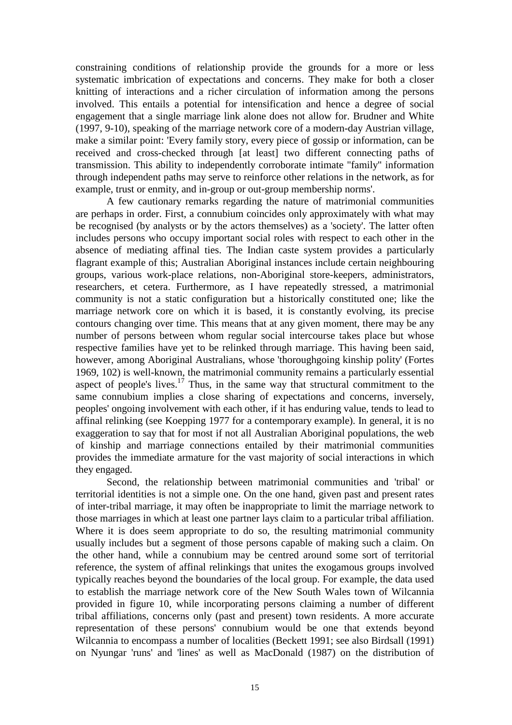constraining conditions of relationship provide the grounds for a more or less systematic imbrication of expectations and concerns. They make for both a closer knitting of interactions and a richer circulation of information among the persons involved. This entails a potential for intensification and hence a degree of social engagement that a single marriage link alone does not allow for. Brudner and White (1997, 9-10), speaking of the marriage network core of a modern-day Austrian village, make a similar point: 'Every family story, every piece of gossip or information, can be received and cross-checked through [at least] two different connecting paths of transmission. This ability to independently corroborate intimate "family" information through independent paths may serve to reinforce other relations in the network, as for example, trust or enmity, and in-group or out-group membership norms'.

 A few cautionary remarks regarding the nature of matrimonial communities are perhaps in order. First, a connubium coincides only approximately with what may be recognised (by analysts or by the actors themselves) as a 'society'. The latter often includes persons who occupy important social roles with respect to each other in the absence of mediating affinal ties. The Indian caste system provides a particularly flagrant example of this; Australian Aboriginal instances include certain neighbouring groups, various work-place relations, non-Aboriginal store-keepers, administrators, researchers, et cetera. Furthermore, as I have repeatedly stressed, a matrimonial community is not a static configuration but a historically constituted one; like the marriage network core on which it is based, it is constantly evolving, its precise contours changing over time. This means that at any given moment, there may be any number of persons between whom regular social intercourse takes place but whose respective families have yet to be relinked through marriage. This having been said, however, among Aboriginal Australians, whose 'thoroughgoing kinship polity' (Fortes 1969, 102) is well-known, the matrimonial community remains a particularly essential aspect of people's lives.<sup>17</sup> Thus, in the same way that structural commitment to the same connubium implies a close sharing of expectations and concerns, inversely, peoples' ongoing involvement with each other, if it has enduring value, tends to lead to affinal relinking (see Koepping 1977 for a contemporary example). In general, it is no exaggeration to say that for most if not all Australian Aboriginal populations, the web of kinship and marriage connections entailed by their matrimonial communities provides the immediate armature for the vast majority of social interactions in which they engaged.

 Second, the relationship between matrimonial communities and 'tribal' or territorial identities is not a simple one. On the one hand, given past and present rates of inter-tribal marriage, it may often be inappropriate to limit the marriage network to those marriages in which at least one partner lays claim to a particular tribal affiliation. Where it is does seem appropriate to do so, the resulting matrimonial community usually includes but a segment of those persons capable of making such a claim. On the other hand, while a connubium may be centred around some sort of territorial reference, the system of affinal relinkings that unites the exogamous groups involved typically reaches beyond the boundaries of the local group. For example, the data used to establish the marriage network core of the New South Wales town of Wilcannia provided in figure 10, while incorporating persons claiming a number of different tribal affiliations, concerns only (past and present) town residents. A more accurate representation of these persons' connubium would be one that extends beyond Wilcannia to encompass a number of localities (Beckett 1991; see also Birdsall (1991) on Nyungar 'runs' and 'lines' as well as MacDonald (1987) on the distribution of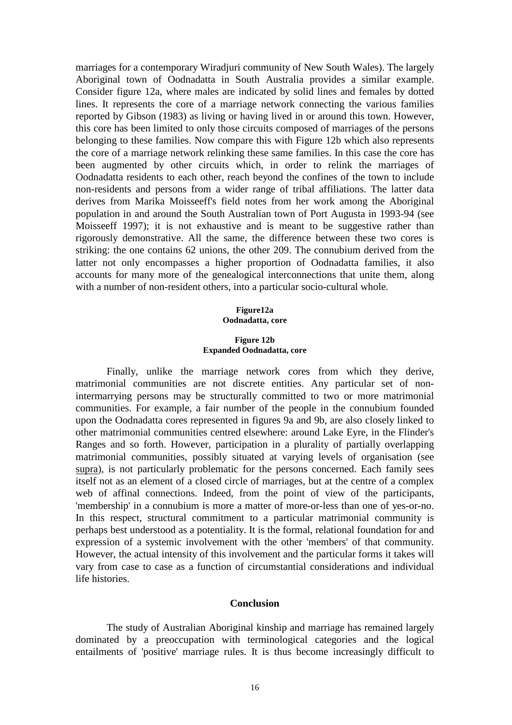marriages for a contemporary Wiradjuri community of New South Wales). The largely Aboriginal town of Oodnadatta in South Australia provides a similar example. Consider figure 12a, where males are indicated by solid lines and females by dotted lines. It represents the core of a marriage network connecting the various families reported by Gibson (1983) as living or having lived in or around this town. However, this core has been limited to only those circuits composed of marriages of the persons belonging to these families. Now compare this with Figure 12b which also represents the core of a marriage network relinking these same families. In this case the core has been augmented by other circuits which, in order to relink the marriages of Oodnadatta residents to each other, reach beyond the confines of the town to include non-residents and persons from a wider range of tribal affiliations. The latter data derives from Marika Moisseeff's field notes from her work among the Aboriginal population in and around the South Australian town of Port Augusta in 1993-94 (see Moisseeff 1997); it is not exhaustive and is meant to be suggestive rather than rigorously demonstrative. All the same, the difference between these two cores is striking: the one contains 62 unions, the other 209. The connubium derived from the latter not only encompasses a higher proportion of Oodnadatta families, it also accounts for many more of the genealogical interconnections that unite them, along with a number of non-resident others, into a particular socio-cultural whole.

#### **Figure12a Oodnadatta, core**

#### **Figure 12b Expanded Oodnadatta, core**

 Finally, unlike the marriage network cores from which they derive, matrimonial communities are not discrete entities. Any particular set of nonintermarrying persons may be structurally committed to two or more matrimonial communities. For example, a fair number of the people in the connubium founded upon the Oodnadatta cores represented in figures 9a and 9b, are also closely linked to other matrimonial communities centred elsewhere: around Lake Eyre, in the Flinder's Ranges and so forth. However, participation in a plurality of partially overlapping matrimonial communities, possibly situated at varying levels of organisation (see supra), is not particularly problematic for the persons concerned. Each family sees itself not as an element of a closed circle of marriages, but at the centre of a complex web of affinal connections. Indeed, from the point of view of the participants, 'membership' in a connubium is more a matter of more-or-less than one of yes-or-no. In this respect, structural commitment to a particular matrimonial community is perhaps best understood as a potentiality. It is the formal, relational foundation for and expression of a systemic involvement with the other 'members' of that community. However, the actual intensity of this involvement and the particular forms it takes will vary from case to case as a function of circumstantial considerations and individual life histories.

### **Conclusion**

 The study of Australian Aboriginal kinship and marriage has remained largely dominated by a preoccupation with terminological categories and the logical entailments of 'positive' marriage rules. It is thus become increasingly difficult to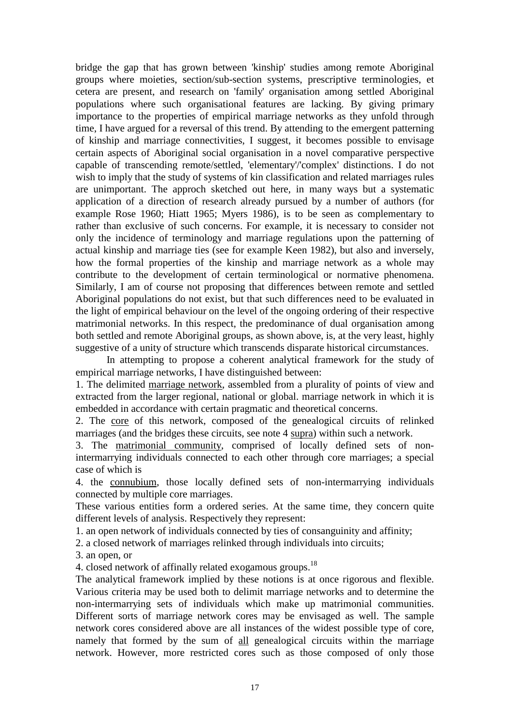bridge the gap that has grown between 'kinship' studies among remote Aboriginal groups where moieties, section/sub-section systems, prescriptive terminologies, et cetera are present, and research on 'family' organisation among settled Aboriginal populations where such organisational features are lacking. By giving primary importance to the properties of empirical marriage networks as they unfold through time, I have argued for a reversal of this trend. By attending to the emergent patterning of kinship and marriage connectivities, I suggest, it becomes possible to envisage certain aspects of Aboriginal social organisation in a novel comparative perspective capable of transcending remote/settled, 'elementary'/'complex' distinctions. I do not wish to imply that the study of systems of kin classification and related marriages rules are unimportant. The approch sketched out here, in many ways but a systematic application of a direction of research already pursued by a number of authors (for example Rose 1960; Hiatt 1965; Myers 1986), is to be seen as complementary to rather than exclusive of such concerns. For example, it is necessary to consider not only the incidence of terminology and marriage regulations upon the patterning of actual kinship and marriage ties (see for example Keen 1982), but also and inversely, how the formal properties of the kinship and marriage network as a whole may contribute to the development of certain terminological or normative phenomena. Similarly, I am of course not proposing that differences between remote and settled Aboriginal populations do not exist, but that such differences need to be evaluated in the light of empirical behaviour on the level of the ongoing ordering of their respective matrimonial networks. In this respect, the predominance of dual organisation among both settled and remote Aboriginal groups, as shown above, is, at the very least, highly suggestive of a unity of structure which transcends disparate historical circumstances.

 In attempting to propose a coherent analytical framework for the study of empirical marriage networks, I have distinguished between:

1. The delimited marriage network, assembled from a plurality of points of view and extracted from the larger regional, national or global. marriage network in which it is embedded in accordance with certain pragmatic and theoretical concerns.

2. The core of this network, composed of the genealogical circuits of relinked marriages (and the bridges these circuits, see note 4 supra) within such a network.

3. The matrimonial community, comprised of locally defined sets of nonintermarrying individuals connected to each other through core marriages; a special case of which is

4. the connubium, those locally defined sets of non-intermarrying individuals connected by multiple core marriages.

These various entities form a ordered series. At the same time, they concern quite different levels of analysis. Respectively they represent:

1. an open network of individuals connected by ties of consanguinity and affinity;

2. a closed network of marriages relinked through individuals into circuits;

3. an open, or

4. closed network of affinally related exogamous groups.<sup>18</sup>

The analytical framework implied by these notions is at once rigorous and flexible. Various criteria may be used both to delimit marriage networks and to determine the non-intermarrying sets of individuals which make up matrimonial communities. Different sorts of marriage network cores may be envisaged as well. The sample network cores considered above are all instances of the widest possible type of core, namely that formed by the sum of all genealogical circuits within the marriage network. However, more restricted cores such as those composed of only those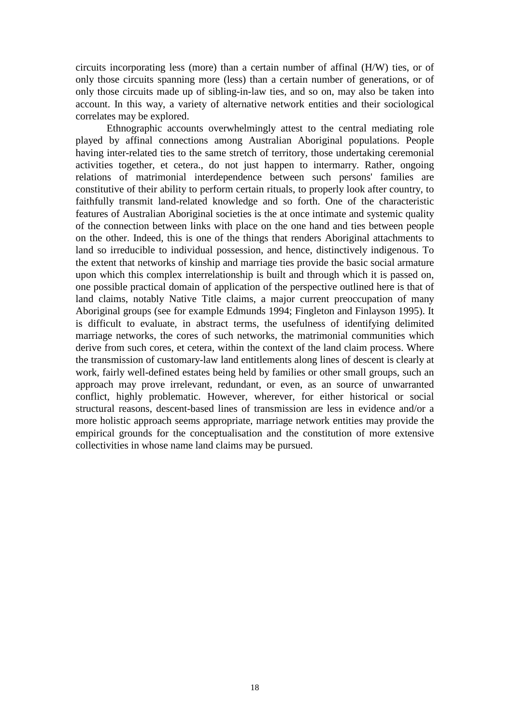circuits incorporating less (more) than a certain number of affinal (H/W) ties, or of only those circuits spanning more (less) than a certain number of generations, or of only those circuits made up of sibling-in-law ties, and so on, may also be taken into account. In this way, a variety of alternative network entities and their sociological correlates may be explored.

 Ethnographic accounts overwhelmingly attest to the central mediating role played by affinal connections among Australian Aboriginal populations. People having inter-related ties to the same stretch of territory, those undertaking ceremonial activities together, et cetera., do not just happen to intermarry. Rather, ongoing relations of matrimonial interdependence between such persons' families are constitutive of their ability to perform certain rituals, to properly look after country, to faithfully transmit land-related knowledge and so forth. One of the characteristic features of Australian Aboriginal societies is the at once intimate and systemic quality of the connection between links with place on the one hand and ties between people on the other. Indeed, this is one of the things that renders Aboriginal attachments to land so irreducible to individual possession, and hence, distinctively indigenous. To the extent that networks of kinship and marriage ties provide the basic social armature upon which this complex interrelationship is built and through which it is passed on, one possible practical domain of application of the perspective outlined here is that of land claims, notably Native Title claims, a major current preoccupation of many Aboriginal groups (see for example Edmunds 1994; Fingleton and Finlayson 1995). It is difficult to evaluate, in abstract terms, the usefulness of identifying delimited marriage networks, the cores of such networks, the matrimonial communities which derive from such cores, et cetera, within the context of the land claim process. Where the transmission of customary-law land entitlements along lines of descent is clearly at work, fairly well-defined estates being held by families or other small groups, such an approach may prove irrelevant, redundant, or even, as an source of unwarranted conflict, highly problematic. However, wherever, for either historical or social structural reasons, descent-based lines of transmission are less in evidence and/or a more holistic approach seems appropriate, marriage network entities may provide the empirical grounds for the conceptualisation and the constitution of more extensive collectivities in whose name land claims may be pursued.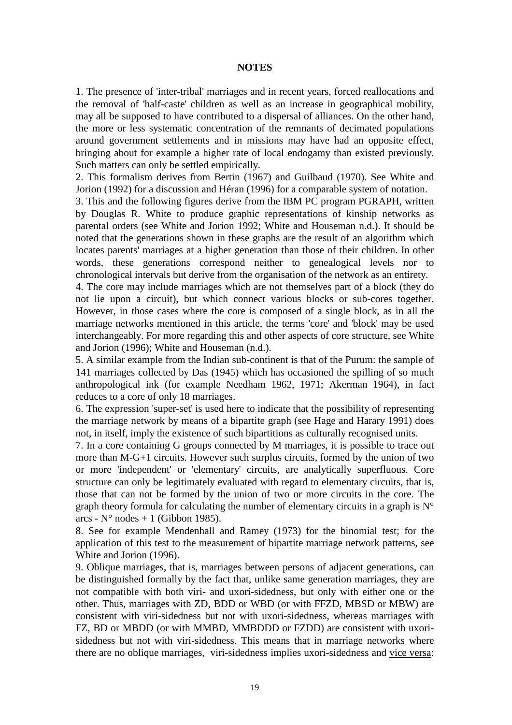#### **NOTES**

1. The presence of 'inter-tribal' marriages and in recent years, forced reallocations and the removal of 'half-caste' children as well as an increase in geographical mobility, may all be supposed to have contributed to a dispersal of alliances. On the other hand, the more or less systematic concentration of the remnants of decimated populations around government settlements and in missions may have had an opposite effect, bringing about for example a higher rate of local endogamy than existed previously. Such matters can only be settled empirically.

2. This formalism derives from Bertin (1967) and Guilbaud (1970). See White and Jorion (1992) for a discussion and Héran (1996) for a comparable system of notation.

3. This and the following figures derive from the IBM PC program PGRAPH, written by Douglas R. White to produce graphic representations of kinship networks as parental orders (see White and Jorion 1992; White and Houseman n.d.). It should be noted that the generations shown in these graphs are the result of an algorithm which locates parents' marriages at a higher generation than those of their children. In other words, these generations correspond neither to genealogical levels nor to chronological intervals but derive from the organisation of the network as an entirety.

4. The core may include marriages which are not themselves part of a block (they do not lie upon a circuit), but which connect various blocks or sub-cores together. However, in those cases where the core is composed of a single block, as in all the marriage networks mentioned in this article, the terms 'core' and 'block' may be used interchangeably. For more regarding this and other aspects of core structure, see White and Jorion (1996); White and Houseman (n.d.).

5. A similar example from the Indian sub-continent is that of the Purum: the sample of 141 marriages collected by Das (1945) which has occasioned the spilling of so much anthropological ink (for example Needham 1962, 1971; Akerman 1964), in fact reduces to a core of only 18 marriages.

6. The expression 'super-set' is used here to indicate that the possibility of representing the marriage network by means of a bipartite graph (see Hage and Harary 1991) does not, in itself, imply the existence of such bipartitions as culturally recognised units.

7. In a core containing G groups connected by M marriages, it is possible to trace out more than M-G+1 circuits. However such surplus circuits, formed by the union of two or more 'independent' or 'elementary' circuits, are analytically superfluous. Core structure can only be legitimately evaluated with regard to elementary circuits, that is, those that can not be formed by the union of two or more circuits in the core. The graph theory formula for calculating the number of elementary circuits in a graph is  $N^{\circ}$ arcs -  $N^{\circ}$  nodes + 1 (Gibbon 1985).

8. See for example Mendenhall and Ramey (1973) for the binomial test; for the application of this test to the measurement of bipartite marriage network patterns, see White and Jorion (1996).

9. Oblique marriages, that is, marriages between persons of adjacent generations, can be distinguished formally by the fact that, unlike same generation marriages, they are not compatible with both viri- and uxori-sidedness, but only with either one or the other. Thus, marriages with ZD, BDD or WBD (or with FFZD, MBSD or MBW) are consistent with viri-sidedness but not with uxori-sidedness, whereas marriages with FZ, BD or MBDD (or with MMBD, MMBDDD or FZDD) are consistent with uxorisidedness but not with viri-sidedness. This means that in marriage networks where there are no oblique marriages, viri-sidedness implies uxori-sidedness and vice versa: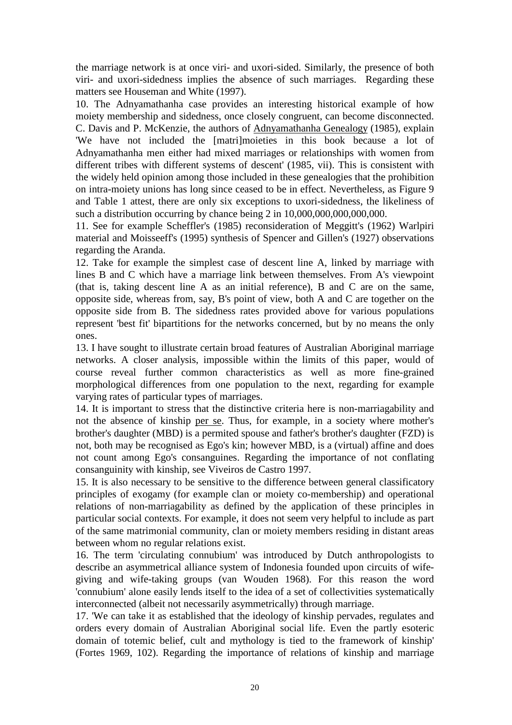the marriage network is at once viri- and uxori-sided. Similarly, the presence of both viri- and uxori-sidedness implies the absence of such marriages. Regarding these matters see Houseman and White (1997).

10. The Adnyamathanha case provides an interesting historical example of how moiety membership and sidedness, once closely congruent, can become disconnected. C. Davis and P. McKenzie, the authors of Adnyamathanha Genealogy (1985), explain 'We have not included the [matri]moieties in this book because a lot of Adnyamathanha men either had mixed marriages or relationships with women from different tribes with different systems of descent' (1985, vii). This is consistent with the widely held opinion among those included in these genealogies that the prohibition on intra-moiety unions has long since ceased to be in effect. Nevertheless, as Figure 9 and Table 1 attest, there are only six exceptions to uxori-sidedness, the likeliness of such a distribution occurring by chance being 2 in  $10,000,000,000,000,000$ .

11. See for example Scheffler's (1985) reconsideration of Meggitt's (1962) Warlpiri material and Moisseeff's (1995) synthesis of Spencer and Gillen's (1927) observations regarding the Aranda.

12. Take for example the simplest case of descent line A, linked by marriage with lines B and C which have a marriage link between themselves. From A's viewpoint (that is, taking descent line A as an initial reference), B and C are on the same, opposite side, whereas from, say, B's point of view, both A and C are together on the opposite side from B. The sidedness rates provided above for various populations represent 'best fit' bipartitions for the networks concerned, but by no means the only ones.

13. I have sought to illustrate certain broad features of Australian Aboriginal marriage networks. A closer analysis, impossible within the limits of this paper, would of course reveal further common characteristics as well as more fine-grained morphological differences from one population to the next, regarding for example varying rates of particular types of marriages.

14. It is important to stress that the distinctive criteria here is non-marriagability and not the absence of kinship per se. Thus, for example, in a society where mother's brother's daughter (MBD) is a permited spouse and father's brother's daughter (FZD) is not, both may be recognised as Ego's kin; however MBD, is a (virtual) affine and does not count among Ego's consanguines. Regarding the importance of not conflating consanguinity with kinship, see Viveiros de Castro 1997.

15. It is also necessary to be sensitive to the difference between general classificatory principles of exogamy (for example clan or moiety co-membership) and operational relations of non-marriagability as defined by the application of these principles in particular social contexts. For example, it does not seem very helpful to include as part of the same matrimonial community, clan or moiety members residing in distant areas between whom no regular relations exist.

16. The term 'circulating connubium' was introduced by Dutch anthropologists to describe an asymmetrical alliance system of Indonesia founded upon circuits of wifegiving and wife-taking groups (van Wouden 1968). For this reason the word 'connubium' alone easily lends itself to the idea of a set of collectivities systematically interconnected (albeit not necessarily asymmetrically) through marriage.

17. 'We can take it as established that the ideology of kinship pervades, regulates and orders every domain of Australian Aboriginal social life. Even the partly esoteric domain of totemic belief, cult and mythology is tied to the framework of kinship' (Fortes 1969, 102). Regarding the importance of relations of kinship and marriage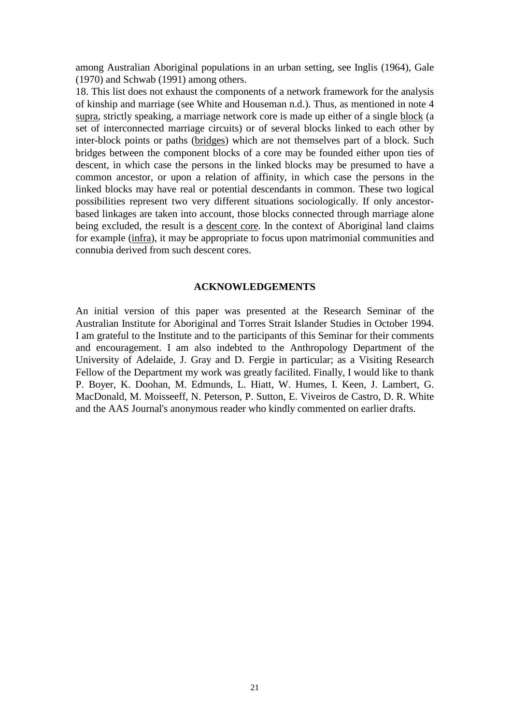among Australian Aboriginal populations in an urban setting, see Inglis (1964), Gale (1970) and Schwab (1991) among others.

18. This list does not exhaust the components of a network framework for the analysis of kinship and marriage (see White and Houseman n.d.). Thus, as mentioned in note 4 supra, strictly speaking, a marriage network core is made up either of a single block (a set of interconnected marriage circuits) or of several blocks linked to each other by inter-block points or paths (bridges) which are not themselves part of a block. Such bridges between the component blocks of a core may be founded either upon ties of descent, in which case the persons in the linked blocks may be presumed to have a common ancestor, or upon a relation of affinity, in which case the persons in the linked blocks may have real or potential descendants in common. These two logical possibilities represent two very different situations sociologically. If only ancestorbased linkages are taken into account, those blocks connected through marriage alone being excluded, the result is a descent core. In the context of Aboriginal land claims for example (infra), it may be appropriate to focus upon matrimonial communities and connubia derived from such descent cores.

# **ACKNOWLEDGEMENTS**

An initial version of this paper was presented at the Research Seminar of the Australian Institute for Aboriginal and Torres Strait Islander Studies in October 1994. I am grateful to the Institute and to the participants of this Seminar for their comments and encouragement. I am also indebted to the Anthropology Department of the University of Adelaide, J. Gray and D. Fergie in particular; as a Visiting Research Fellow of the Department my work was greatly facilited. Finally, I would like to thank P. Boyer, K. Doohan, M. Edmunds, L. Hiatt, W. Humes, I. Keen, J. Lambert, G. MacDonald, M. Moisseeff, N. Peterson, P. Sutton, E. Viveiros de Castro, D. R. White and the AAS Journal's anonymous reader who kindly commented on earlier drafts.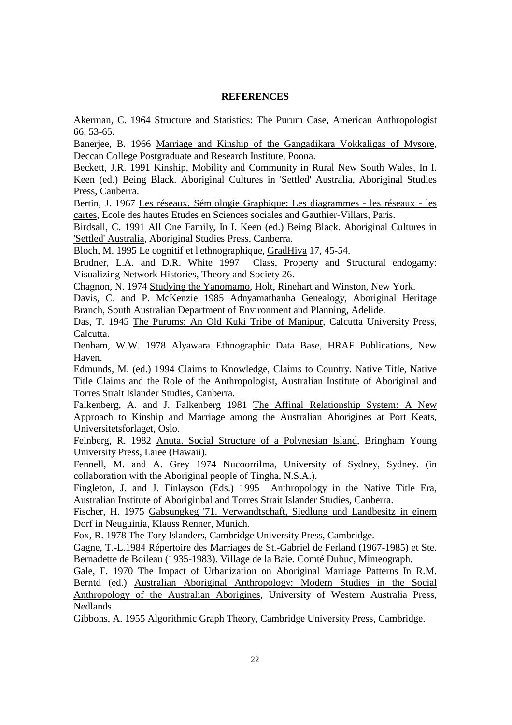#### **REFERENCES**

Akerman, C. 1964 Structure and Statistics: The Purum Case, American Anthropologist 66, 53-65.

Banerjee, B. 1966 Marriage and Kinship of the Gangadikara Vokkaligas of Mysore, Deccan College Postgraduate and Research Institute, Poona.

Beckett, J.R. 1991 Kinship, Mobility and Community in Rural New South Wales, In I. Keen (ed.) Being Black. Aboriginal Cultures in 'Settled' Australia, Aboriginal Studies Press, Canberra.

Bertin, J. 1967 Les réseaux. Sémiologie Graphique: Les diagrammes - les réseaux - les cartes, Ecole des hautes Etudes en Sciences sociales and Gauthier-Villars, Paris.

Birdsall, C. 1991 All One Family, In I. Keen (ed.) Being Black. Aboriginal Cultures in 'Settled' Australia, Aboriginal Studies Press, Canberra.

Bloch, M. 1995 Le cognitif et l'ethnographique, GradHiva 17, 45-54.

Brudner, L.A. and D.R. White 1997 Class, Property and Structural endogamy: Visualizing Network Histories, Theory and Society 26.

Chagnon, N. 1974 Studying the Yanomamo, Holt, Rinehart and Winston, New York.

Davis, C. and P. McKenzie 1985 Adnyamathanha Genealogy, Aboriginal Heritage Branch, South Australian Department of Environment and Planning, Adelide.

Das, T. 1945 The Purums: An Old Kuki Tribe of Manipur, Calcutta University Press, Calcutta.

Denham, W.W. 1978 Alyawara Ethnographic Data Base, HRAF Publications, New Haven.

Edmunds, M. (ed.) 1994 Claims to Knowledge, Claims to Country. Native Title, Native Title Claims and the Role of the Anthropologist, Australian Institute of Aboriginal and Torres Strait Islander Studies, Canberra.

Falkenberg, A. and J. Falkenberg 1981 The Affinal Relationship System: A New Approach to Kinship and Marriage among the Australian Aborigines at Port Keats, Universitetsforlaget, Oslo.

Feinberg, R. 1982 Anuta. Social Structure of a Polynesian Island, Bringham Young University Press, Laiee (Hawaii).

Fennell, M. and A. Grey 1974 Nucoorrilma, University of Sydney, Sydney. (in collaboration with the Aboriginal people of Tingha, N.S.A.).

Fingleton, J. and J. Finlayson (Eds.) 1995 Anthropology in the Native Title Era, Australian Institute of Aboriginbal and Torres Strait Islander Studies, Canberra.

Fischer, H. 1975 Gabsungkeg '71. Verwandtschaft, Siedlung und Landbesitz in einem Dorf in Neuguinia, Klauss Renner, Munich.

Fox, R. 1978 The Tory Islanders, Cambridge University Press, Cambridge.

Gagne, T.-L.1984 Répertoire des Marriages de St.-Gabriel de Ferland (1967-1985) et Ste. Bernadette de Boileau (1935-1983). Village de la Baie. Comté Dubuc, Mimeograph.

Gale, F. 1970 The Impact of Urbanization on Aboriginal Marriage Patterns In R.M. Berntd (ed.) Australian Aboriginal Anthropology: Modern Studies in the Social Anthropology of the Australian Aborigines, University of Western Australia Press, Nedlands.

Gibbons, A. 1955 Algorithmic Graph Theory, Cambridge University Press, Cambridge.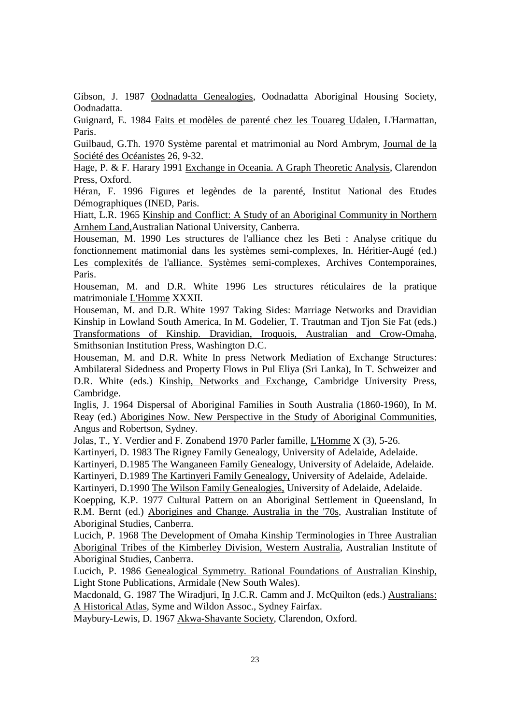Gibson, J. 1987 Oodnadatta Genealogies, Oodnadatta Aboriginal Housing Society, Oodnadatta.

Guignard, E. 1984 Faits et modèles de parenté chez les Touareg Udalen, L'Harmattan, Paris.

Guilbaud, G.Th. 1970 Système parental et matrimonial au Nord Ambrym, Journal de la Société des Océanistes 26, 9-32.

Hage, P. & F. Harary 1991 Exchange in Oceania. A Graph Theoretic Analysis, Clarendon Press, Oxford.

Héran, F. 1996 Figures et legèndes de la parenté, Institut National des Etudes Démographiques (INED, Paris.

Hiatt, L.R. 1965 Kinship and Conflict: A Study of an Aboriginal Community in Northern Arnhem Land,Australian National University, Canberra.

Houseman, M. 1990 Les structures de l'alliance chez les Beti : Analyse critique du fonctionnement matimonial dans les systèmes semi-complexes, In. Héritier-Augé (ed.) Les complexités de l'alliance. Systèmes semi-complexes, Archives Contemporaines, Paris.

Houseman, M. and D.R. White 1996 Les structures réticulaires de la pratique matrimoniale L'Homme XXXII.

Houseman, M. and D.R. White 1997 Taking Sides: Marriage Networks and Dravidian Kinship in Lowland South America, In M. Godelier, T. Trautman and Tjon Sie Fat (eds.) Transformations of Kinship. Dravidian, Iroquois, Australian and Crow-Omaha, Smithsonian Institution Press, Washington D.C.

Houseman, M. and D.R. White In press Network Mediation of Exchange Structures: Ambilateral Sidedness and Property Flows in Pul Eliya (Sri Lanka), In T. Schweizer and D.R. White (eds.) Kinship, Networks and Exchange, Cambridge University Press, Cambridge.

Inglis, J. 1964 Dispersal of Aboriginal Families in South Australia (1860-1960), In M. Reay (ed.) Aborigines Now. New Perspective in the Study of Aboriginal Communities, Angus and Robertson, Sydney.

Jolas, T., Y. Verdier and F. Zonabend 1970 Parler famille, L'Homme X (3), 5-26.

Kartinyeri, D. 1983 The Rigney Family Genealogy, University of Adelaide, Adelaide.

Kartinyeri, D.1985 The Wanganeen Family Genealogy, University of Adelaide, Adelaide.

Kartinyeri, D.1989 The Kartinyeri Family Genealogy, University of Adelaide, Adelaide.

Kartinyeri, D.1990 The Wilson Family Genealogies, University of Adelaide, Adelaide.

Koepping, K.P. 1977 Cultural Pattern on an Aboriginal Settlement in Queensland, In R.M. Bernt (ed.) Aborigines and Change. Australia in the '70s, Australian Institute of Aboriginal Studies, Canberra.

Lucich, P. 1968 The Development of Omaha Kinship Terminologies in Three Australian Aboriginal Tribes of the Kimberley Division, Western Australia, Australian Institute of Aboriginal Studies, Canberra.

Lucich, P. 1986 Genealogical Symmetry. Rational Foundations of Australian Kinship, Light Stone Publications, Armidale (New South Wales).

Macdonald, G. 1987 The Wiradjuri, In J.C.R. Camm and J. McQuilton (eds.) Australians: A Historical Atlas, Syme and Wildon Assoc., Sydney Fairfax.

Maybury-Lewis, D. 1967 Akwa-Shavante Society, Clarendon, Oxford.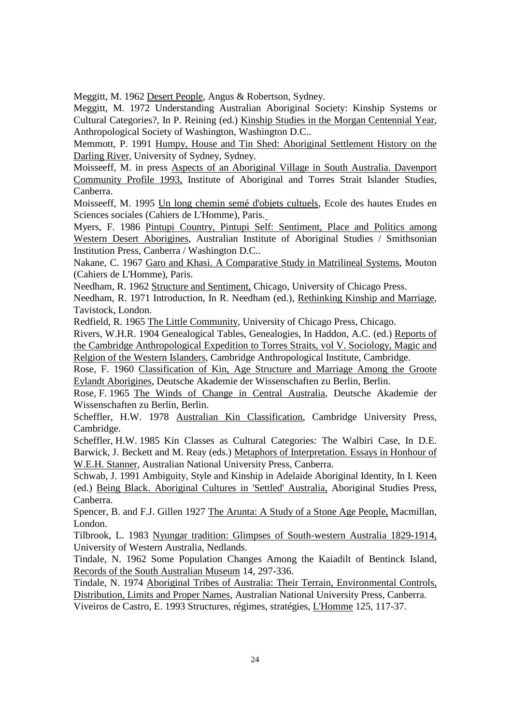Meggitt, M. 1962 Desert People, Angus & Robertson, Sydney.

Meggitt, M. 1972 Understanding Australian Aboriginal Society: Kinship Systems or Cultural Categories?, In P. Reining (ed.) Kinship Studies in the Morgan Centennial Year, Anthropological Society of Washington, Washington D.C..

Memmott, P. 1991 Humpy, House and Tin Shed: Aboriginal Settlement History on the Darling River, University of Sydney, Sydney.

Moisseeff, M. in press Aspects of an Aboriginal Village in South Australia. Davenport Community Profile 1993, Institute of Aboriginal and Torres Strait Islander Studies, Canberra.

Moisseeff, M. 1995 Un long chemin semé d'objets cultuels, Ecole des hautes Etudes en Sciences sociales (Cahiers de L'Homme), Paris.

Myers, F. 1986 Pintupi Country, Pintupi Self: Sentiment, Place and Politics among Western Desert Aborigines, Australian Institute of Aboriginal Studies / Smithsonian Institution Press, Canberra / Washington D.C..

Nakane, C. 1967 Garo and Khasi. A Comparative Study in Matrilineal Systems, Mouton (Cahiers de L'Homme), Paris.

Needham, R. 1962 Structure and Sentiment, Chicago, University of Chicago Press.

Needham, R. 1971 Introduction, In R. Needham (ed.), Rethinking Kinship and Marriage, Tavistock, London.

Redfield, R. 1965 The Little Community, University of Chicago Press, Chicago.

Rivers, W.H.R. 1904 Genealogical Tables, Genealogies, In Haddon, A.C. (ed.) Reports of the Cambridge Anthropological Expedition to Torres Straits, vol V. Sociology, Magic and Relgion of the Western Islanders, Cambridge Anthropological Institute, Cambridge.

Rose, F. 1960 Classification of Kin, Age Structure and Marriage Among the Groote Eylandt Aborigines, Deutsche Akademie der Wissenschaften zu Berlin, Berlin.

Rose, F. 1965 The Winds of Change in Central Australia, Deutsche Akademie der Wissenschaften zu Berlin, Berlin.

Scheffler, H.W. 1978 Australian Kin Classification, Cambridge University Press, Cambridge.

Scheffler, H.W. 1985 Kin Classes as Cultural Categories: The Walbiri Case, In D.E. Barwick, J. Beckett and M. Reay (eds.) Metaphors of Interpretation. Essays in Honhour of W.E.H. Stanner, Australian National University Press, Canberra.

Schwab, J. 1991 Ambiguity, Style and Kinship in Adelaide Aboriginal Identity, In I. Keen (ed.) Being Black. Aboriginal Cultures in 'Settled' Australia, Aboriginal Studies Press, Canberra.

Spencer, B. and F.J. Gillen 1927 The Arunta: A Study of a Stone Age People, Macmillan, London.

Tilbrook, L. 1983 Nyungar tradition: Glimpses of South-western Australia 1829-1914, University of Western Australia, Nedlands.

Tindale, N. 1962 Some Population Changes Among the Kaiadilt of Bentinck Island, Records of the South Australian Museum 14, 297-336.

Tindale, N. 1974 Aboriginal Tribes of Australia: Their Terrain, Environmental Controls, Distribution, Limits and Proper Names, Australian National University Press, Canberra.

Viveiros de Castro, E. 1993 Structures, régimes, stratégies, L'Homme 125, 117-37.